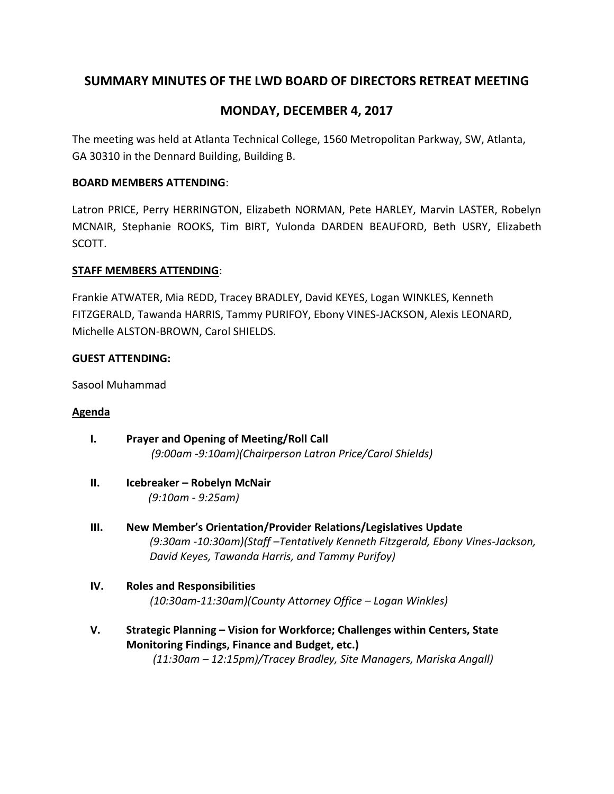# **SUMMARY MINUTES OF THE LWD BOARD OF DIRECTORS RETREAT MEETING**

# **MONDAY, DECEMBER 4, 2017**

The meeting was held at Atlanta Technical College, 1560 Metropolitan Parkway, SW, Atlanta, GA 30310 in the Dennard Building, Building B.

## **BOARD MEMBERS ATTENDING**:

Latron PRICE, Perry HERRINGTON, Elizabeth NORMAN, Pete HARLEY, Marvin LASTER, Robelyn MCNAIR, Stephanie ROOKS, Tim BIRT, Yulonda DARDEN BEAUFORD, Beth USRY, Elizabeth SCOTT.

## **STAFF MEMBERS ATTENDING**:

Frankie ATWATER, Mia REDD, Tracey BRADLEY, David KEYES, Logan WINKLES, Kenneth FITZGERALD, Tawanda HARRIS, Tammy PURIFOY, Ebony VINES-JACKSON, Alexis LEONARD, Michelle ALSTON-BROWN, Carol SHIELDS.

## **GUEST ATTENDING:**

Sasool Muhammad

## **Agenda**

- **I. Prayer and Opening of Meeting/Roll Call**   *(9:00am -9:10am)(Chairperson Latron Price/Carol Shields)*
- **II. Icebreaker – Robelyn McNair**  *(9:10am - 9:25am)*
- **III. New Member's Orientation/Provider Relations/Legislatives Update** *(9:30am -10:30am)(Staff –Tentatively Kenneth Fitzgerald, Ebony Vines-Jackson, David Keyes, Tawanda Harris, and Tammy Purifoy)*
- **IV. Roles and Responsibilities**  *(10:30am-11:30am)(County Attorney Office – Logan Winkles)*
- **V. Strategic Planning – Vision for Workforce; Challenges within Centers, State Monitoring Findings, Finance and Budget, etc.)**  *(11:30am – 12:15pm)/Tracey Bradley, Site Managers, Mariska Angall)*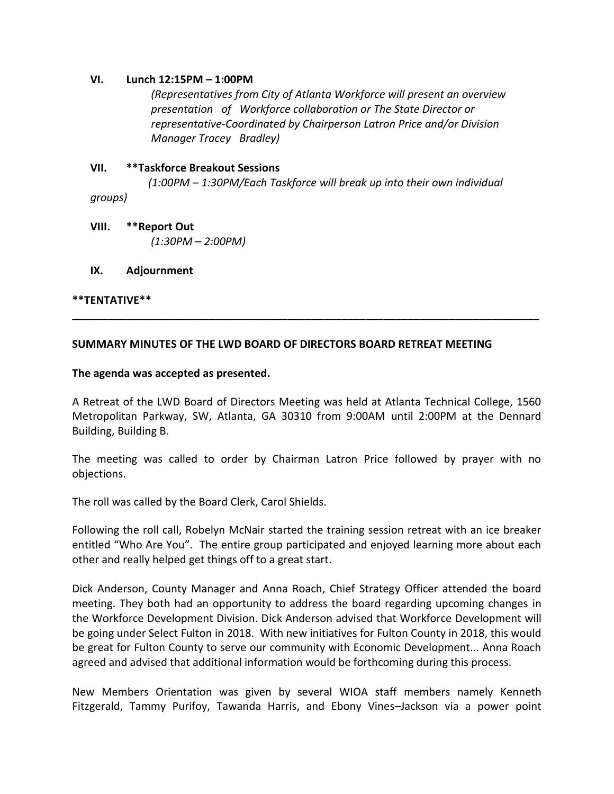#### **VI. Lunch 12:15PM – 1:00PM**

*(Representatives from City of Atlanta Workforce will present an overview presentation of Workforce collaboration or The State Director or representative-Coordinated by Chairperson Latron Price and/or Division Manager Tracey Bradley)*

### **VII. \*\*Taskforce Breakout Sessions**

 *(1:00PM – 1:30PM/Each Taskforce will break up into their own individual groups)* 

**VIII. \*\*Report Out**   *(1:30PM – 2:00PM)* 

**IX. Adjournment**

#### **\*\*TENTATIVE\*\***

### **SUMMARY MINUTES OF THE LWD BOARD OF DIRECTORS BOARD RETREAT MEETING**

#### **The agenda was accepted as presented.**

A Retreat of the LWD Board of Directors Meeting was held at Atlanta Technical College, 1560 Metropolitan Parkway, SW, Atlanta, GA 30310 from 9:00AM until 2:00PM at the Dennard Building, Building B.

**\_\_\_\_\_\_\_\_\_\_\_\_\_\_\_\_\_\_\_\_\_\_\_\_\_\_\_\_\_\_\_\_\_\_\_\_\_\_\_\_\_\_\_\_\_\_\_\_\_\_\_\_\_\_\_\_\_\_\_\_\_\_\_\_\_\_\_\_\_\_\_\_\_\_\_\_\_\_**

The meeting was called to order by Chairman Latron Price followed by prayer with no objections.

The roll was called by the Board Clerk, Carol Shields.

Following the roll call, Robelyn McNair started the training session retreat with an ice breaker entitled "Who Are You". The entire group participated and enjoyed learning more about each other and really helped get things off to a great start.

Dick Anderson, County Manager and Anna Roach, Chief Strategy Officer attended the board meeting. They both had an opportunity to address the board regarding upcoming changes in the Workforce Development Division. Dick Anderson advised that Workforce Development will be going under Select Fulton in 2018. With new initiatives for Fulton County in 2018, this would be great for Fulton County to serve our community with Economic Development... Anna Roach agreed and advised that additional information would be forthcoming during this process.

New Members Orientation was given by several WIOA staff members namely Kenneth Fitzgerald, Tammy Purifoy, Tawanda Harris, and Ebony Vines–Jackson via a power point